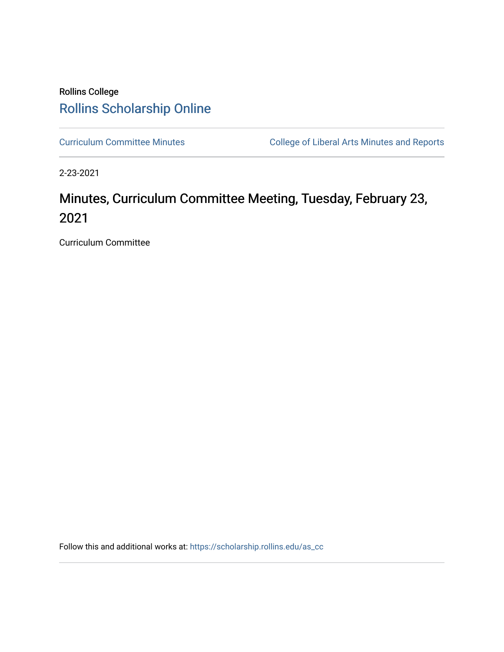# Rollins College [Rollins Scholarship Online](https://scholarship.rollins.edu/)

[Curriculum Committee Minutes](https://scholarship.rollins.edu/as_cc) **College of Liberal Arts Minutes and Reports** 

2-23-2021

# Minutes, Curriculum Committee Meeting, Tuesday, February 23, 2021

Curriculum Committee

Follow this and additional works at: [https://scholarship.rollins.edu/as\\_cc](https://scholarship.rollins.edu/as_cc?utm_source=scholarship.rollins.edu%2Fas_cc%2F92&utm_medium=PDF&utm_campaign=PDFCoverPages)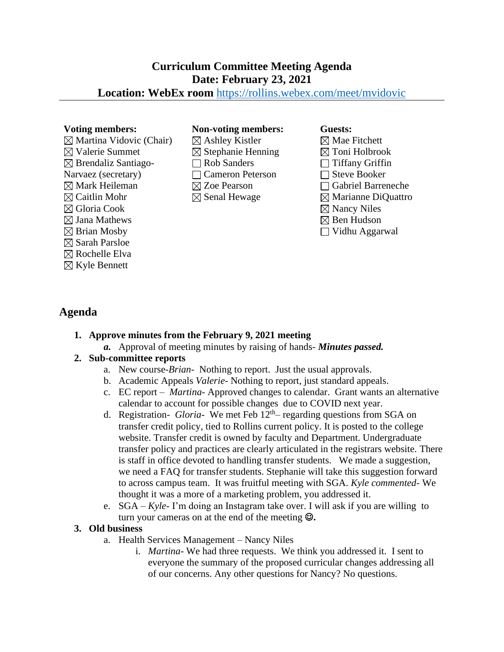# **Curriculum Committee Meeting Agenda Date: February 23, 2021**

# **Location: WebEx room** <https://rollins.webex.com/meet/mvidovic>

 $\boxtimes$  Martina Vidovic (Chair)  $\boxtimes$  Valerie Summet  $\boxtimes$  Brendaliz Santiago-Narvaez (secretary)  $\boxtimes$  Mark Heileman  $\boxtimes$  Caitlin Mohr Gloria Cook  $\boxtimes$  Jana Mathews  $\boxtimes$  Brian Mosby  $\boxtimes$  Sarah Parsloe  $\boxtimes$  Rochelle Elva  $\boxtimes$  Kyle Bennett

#### **Voting members: Non-voting members: Guests:**

- $\boxtimes$  Ashley Kistler  $\boxtimes$  Stephanie Henning Rob Sanders Cameron Peterson Zoe Pearson  $\boxtimes$  Senal Hewage
- $\boxtimes$  Mae Fitchett  $\boxtimes$  Toni Holbrook  $\Box$  Tiffany Griffin  $\Box$  Steve Booker Gabriel Barreneche  $\boxtimes$  Marianne DiQuattro  $\boxtimes$  Nancy Niles  $\boxtimes$  Ben Hudson
- Vidhu Aggarwal

# **Agenda**

# **1. Approve minutes from the February 9, 2021 meeting**

*a.* Approval of meeting minutes by raising of hands- *Minutes passed.*

# **2. Sub-committee reports**

- a. New course-*Brian-* Nothing to report. Just the usual approvals.
- b. Academic Appeals *Valerie* Nothing to report, just standard appeals.
- c. EC report – *Martina-* Approved changes to calendar. Grant wants an alternative calendar to account for possible changes due to COVID next year.
- d. Registration- *Gloria-* We met Feb 12th regarding questions from SGA on transfer credit policy, tied to Rollins current policy. It is posted to the college website. Transfer credit is owned by faculty and Department. Undergraduate transfer policy and practices are clearly articulated in the registrars website. There is staff in office devoted to handling transfer students. We made a suggestion, we need a FAQ for transfer students. Stephanie will take this suggestion forward to across campus team. It was fruitful meeting with SGA. *Kyle commented*- We thought it was a more of a marketing problem, you addressed it.
- e. SGA *Kyle-* I'm doing an Instagram take over. I will ask if you are willing to turn your cameras on at the end of the meeting ☺**.**

# **3. Old business**

- a. Health Services Management Nancy Niles
	- i. *Martina* We had three requests. We think you addressed it. I sent to everyone the summary of the proposed curricular changes addressing all of our concerns. Any other questions for Nancy? No questions.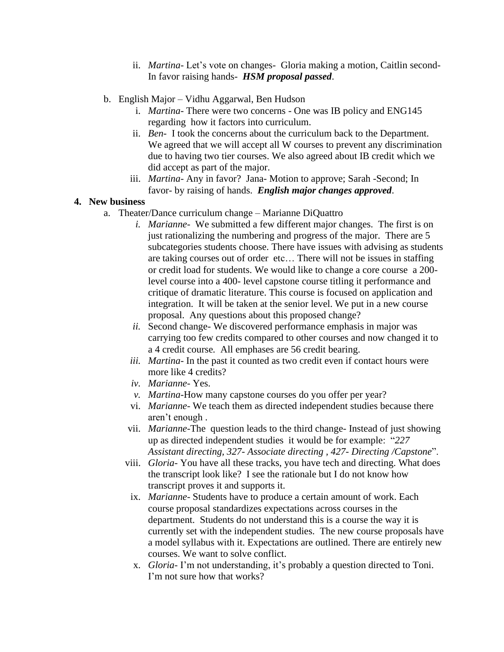- ii. *Martina-* Let's vote on changes- Gloria making a motion, Caitlin second-In favor raising hands- *HSM proposal passed*.
- b. English Major Vidhu Aggarwal, Ben Hudson
	- i. *Martina* There were two concerns One was IB policy and ENG145 regarding how it factors into curriculum.
	- ii. *Ben* I took the concerns about the curriculum back to the Department. We agreed that we will accept all W courses to prevent any discrimination due to having two tier courses. We also agreed about IB credit which we did accept as part of the major.
	- iii. *Martina* Any in favor? Jana- Motion to approve; Sarah -Second; In favor- by raising of hands. *English major changes approved*.

#### **4. New business**

- a. Theater/Dance curriculum change Marianne DiQuattro
	- *i. Marianne-* We submitted a few different major changes. The first is on just rationalizing the numbering and progress of the major. There are 5 subcategories students choose. There have issues with advising as students are taking courses out of order etc… There will not be issues in staffing or credit load for students. We would like to change a core course a 200 level course into a 400- level capstone course titling it performance and critique of dramatic literature. This course is focused on application and integration. It will be taken at the senior level. We put in a new course proposal. Any questions about this proposed change?
	- *ii.* Second change- We discovered performance emphasis in major was carrying too few credits compared to other courses and now changed it to a 4 credit course*.* All emphases are 56 credit bearing.
	- *iii. Martina-* In the past it counted as two credit even if contact hours were more like 4 credits?
	- *iv. Marianne-* Yes.
	- *v. Martina*-How many capstone courses do you offer per year?
	- vi. *Marianne-* We teach them as directed independent studies because there aren't enough .
	- vii. *Marianne*-The question leads to the third change*-* Instead of just showing up as directed independent studies it would be for example: "*227 Assistant directing, 327- Associate directing , 427- Directing /Capstone*".
	- viii. *Gloria* You have all these tracks, you have tech and directing. What does the transcript look like? I see the rationale but I do not know how transcript proves it and supports it.
		- ix. *Marianne-* Students have to produce a certain amount of work. Each course proposal standardizes expectations across courses in the department. Students do not understand this is a course the way it is currently set with the independent studies. The new course proposals have a model syllabus with it. Expectations are outlined. There are entirely new courses. We want to solve conflict.
		- x. *Gloria-* I'm not understanding, it's probably a question directed to Toni. I'm not sure how that works?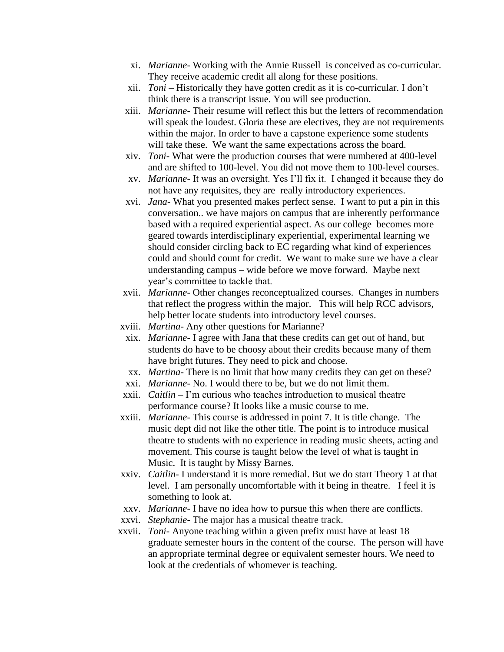- xi. *Marianne-* Working with the Annie Russell is conceived as co-curricular. They receive academic credit all along for these positions.
- xii. *Toni –* Historically they have gotten credit as it is co-curricular. I don't think there is a transcript issue. You will see production.
- xiii. *Marianne* Their resume will reflect this but the letters of recommendation will speak the loudest. Gloria these are electives, they are not requirements within the major. In order to have a capstone experience some students will take these. We want the same expectations across the board.
- xiv. *Toni* What were the production courses that were numbered at 400-level and are shifted to 100-level. You did not move them to 100-level courses.
- xv. *Marianne* It was an oversight. Yes I'll fix it. I changed it because they do not have any requisites, they are really introductory experiences.
- xvi. *Jana* What you presented makes perfect sense. I want to put a pin in this conversation.. we have majors on campus that are inherently performance based with a required experiential aspect. As our college becomes more geared towards interdisciplinary experiential, experimental learning we should consider circling back to EC regarding what kind of experiences could and should count for credit. We want to make sure we have a clear understanding campus – wide before we move forward. Maybe next year's committee to tackle that.
- xvii. *Marianne* Other changes reconceptualized courses. Changes in numbers that reflect the progress within the major. This will help RCC advisors, help better locate students into introductory level courses.
- xviii. *Martina* Any other questions for Marianne?
- xix. *Marianne* I agree with Jana that these credits can get out of hand, but students do have to be choosy about their credits because many of them have bright futures. They need to pick and choose.
- xx. *Martina* There is no limit that how many credits they can get on these?
- xxi. *Marianne* No. I would there to be, but we do not limit them.
- xxii. *Caitlin*  I'm curious who teaches introduction to musical theatre performance course? It looks like a music course to me.
- xxiii. *Marianne* This course is addressed in point 7. It is title change. The music dept did not like the other title. The point is to introduce musical theatre to students with no experience in reading music sheets, acting and movement. This course is taught below the level of what is taught in Music. It is taught by Missy Barnes.
- xxiv. *Caitlin* I understand it is more remedial. But we do start Theory 1 at that level. I am personally uncomfortable with it being in theatre. I feel it is something to look at.
- xxv. *Marianne* I have no idea how to pursue this when there are conflicts.
- xxvi. *Stephanie* The major has a musical theatre track.
- xxvii. *Toni* Anyone teaching within a given prefix must have at least 18 graduate semester hours in the content of the course. The person will have an appropriate terminal degree or equivalent semester hours. We need to look at the credentials of whomever is teaching.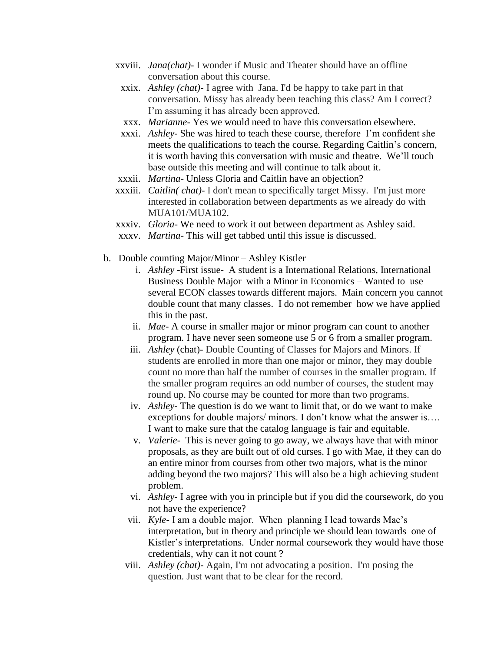- xxviii. *Jana(chat)* I wonder if Music and Theater should have an offline conversation about this course.
	- xxix. *Ashley (chat)-* I agree with Jana. I'd be happy to take part in that conversation. Missy has already been teaching this class? Am I correct? I'm assuming it has already been approved.
	- xxx. *Marianne-* Yes we would need to have this conversation elsewhere.
- xxxi. *Ashley-* She was hired to teach these course, therefore I'm confident she meets the qualifications to teach the course. Regarding Caitlin's concern, it is worth having this conversation with music and theatre. We'll touch base outside this meeting and will continue to talk about it.
- xxxii. *Martina-* Unless Gloria and Caitlin have an objection?
- xxxiii. *Caitlin( chat)-* I don't mean to specifically target Missy. I'm just more interested in collaboration between departments as we already do with MUA101/MUA102.
- xxxiv. *Gloria-* We need to work it out between department as Ashley said.
- xxxv. *Martina-* This will get tabbed until this issue is discussed.
- b. Double counting Major/Minor Ashley Kistler
	- i. *Ashley* -First issue- A student is a International Relations, International Business Double Major with a Minor in Economics – Wanted to use several ECON classes towards different majors. Main concern you cannot double count that many classes. I do not remember how we have applied this in the past.
	- ii. *Mae* A course in smaller major or minor program can count to another program. I have never seen someone use 5 or 6 from a smaller program.
	- iii. *Ashley* (chat)- Double Counting of Classes for Majors and Minors. If students are enrolled in more than one major or minor, they may double count no more than half the number of courses in the smaller program. If the smaller program requires an odd number of courses, the student may round up. No course may be counted for more than two programs.
	- iv. *Ashley-* The question is do we want to limit that, or do we want to make exceptions for double majors/ minors. I don't know what the answer is…. I want to make sure that the catalog language is fair and equitable.
	- v. *Valerie-* This is never going to go away, we always have that with minor proposals, as they are built out of old curses. I go with Mae, if they can do an entire minor from courses from other two majors, what is the minor adding beyond the two majors? This will also be a high achieving student problem.
	- vi. *Ashley-* I agree with you in principle but if you did the coursework, do you not have the experience?
	- vii. *Kyle-* I am a double major. When planning I lead towards Mae's interpretation, but in theory and principle we should lean towards one of Kistler's interpretations. Under normal coursework they would have those credentials, why can it not count ?
	- viii. *Ashley (chat)-* Again, I'm not advocating a position. I'm posing the question. Just want that to be clear for the record.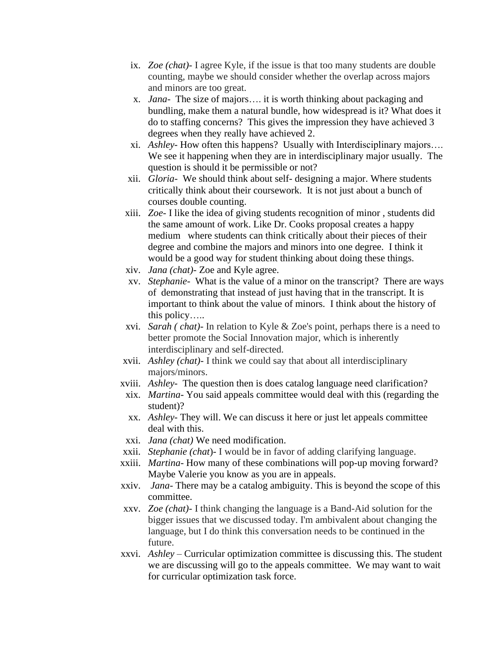- ix. *Zoe (chat)-* I agree Kyle, if the issue is that too many students are double counting, maybe we should consider whether the overlap across majors and minors are too great.
- x. *Jana* The size of majors…. it is worth thinking about packaging and bundling, make them a natural bundle, how widespread is it? What does it do to staffing concerns? This gives the impression they have achieved 3 degrees when they really have achieved 2.
- xi. *Ashley-* How often this happens? Usually with Interdisciplinary majors…. We see it happening when they are in interdisciplinary major usually. The question is should it be permissible or not?
- xii. *Gloria-* We should think about self- designing a major. Where students critically think about their coursework. It is not just about a bunch of courses double counting.
- xiii. *Zoe-* I like the idea of giving students recognition of minor , students did the same amount of work. Like Dr. Cooks proposal creates a happy medium where students can think critically about their pieces of their degree and combine the majors and minors into one degree. I think it would be a good way for student thinking about doing these things.
- xiv. *Jana (chat)-* Zoe and Kyle agree.
- xv. *Stephanie-* What is the value of a minor on the transcript? There are ways of demonstrating that instead of just having that in the transcript. It is important to think about the value of minors. I think about the history of this policy…..
- xvi. *Sarah ( chat)-* In relation to Kyle & Zoe's point, perhaps there is a need to better promote the Social Innovation major, which is inherently interdisciplinary and self-directed.
- xvii. *Ashley (chat)-* I think we could say that about all interdisciplinary majors/minors.
- xviii. *Ashley-* The question then is does catalog language need clarification?
- xix. *Martina* You said appeals committee would deal with this (regarding the student)?
- xx. *Ashley* They will. We can discuss it here or just let appeals committee deal with this.
- xxi. *Jana (chat)* We need modification.
- xxii. *Stephanie (chat*)- I would be in favor of adding clarifying language.
- xxiii. *Martina-* How many of these combinations will pop-up moving forward? Maybe Valerie you know as you are in appeals.
- xxiv. *Jana-* There may be a catalog ambiguity. This is beyond the scope of this committee.
- xxv. *Zoe (chat)-* I think changing the language is a Band-Aid solution for the bigger issues that we discussed today. I'm ambivalent about changing the language, but I do think this conversation needs to be continued in the future.
- xxvi. *Ashley –* Curricular optimization committee is discussing this. The student we are discussing will go to the appeals committee. We may want to wait for curricular optimization task force.